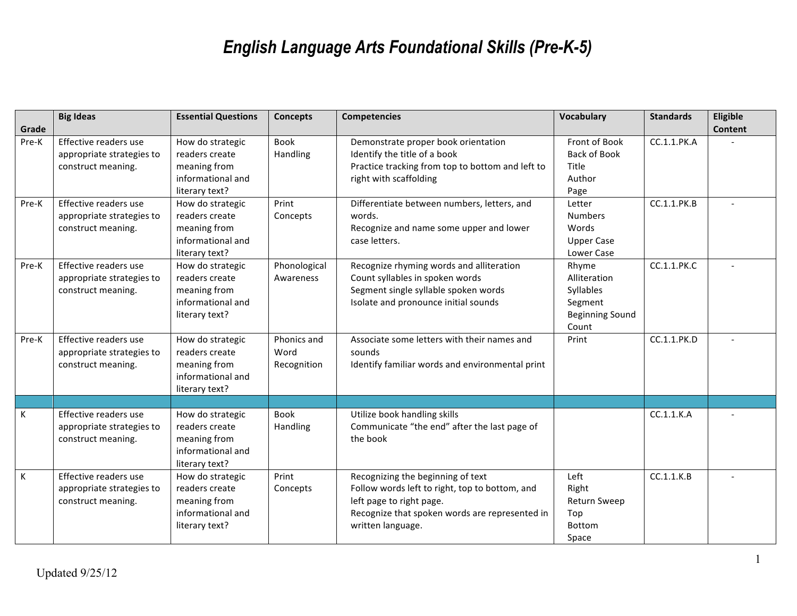## *English Language Arts Foundational Skills (Pre-K-5)*

|       | <b>Big Ideas</b>                                                         | <b>Essential Questions</b>                                                                | <b>Concepts</b>                    | <b>Competencies</b>                                                                                                                                                                    | <b>Vocabulary</b>                                                                | <b>Standards</b> | Eligible       |
|-------|--------------------------------------------------------------------------|-------------------------------------------------------------------------------------------|------------------------------------|----------------------------------------------------------------------------------------------------------------------------------------------------------------------------------------|----------------------------------------------------------------------------------|------------------|----------------|
| Grade |                                                                          |                                                                                           |                                    |                                                                                                                                                                                        |                                                                                  |                  | <b>Content</b> |
| Pre-K | Effective readers use<br>appropriate strategies to<br>construct meaning. | How do strategic<br>readers create<br>meaning from<br>informational and<br>literary text? | Book<br>Handling                   | Demonstrate proper book orientation<br>Identify the title of a book<br>Practice tracking from top to bottom and left to<br>right with scaffolding                                      | Front of Book<br>Back of Book<br>Title<br>Author<br>Page                         | CC.1.1.PK.A      |                |
| Pre-K | Effective readers use<br>appropriate strategies to<br>construct meaning. | How do strategic<br>readers create<br>meaning from<br>informational and<br>literary text? | Print<br>Concepts                  | Differentiate between numbers, letters, and<br>words.<br>Recognize and name some upper and lower<br>case letters.                                                                      | Letter<br><b>Numbers</b><br>Words<br><b>Upper Case</b><br>Lower Case             | CC.1.1.PK.B      |                |
| Pre-K | Effective readers use<br>appropriate strategies to<br>construct meaning. | How do strategic<br>readers create<br>meaning from<br>informational and<br>literary text? | Phonological<br>Awareness          | Recognize rhyming words and alliteration<br>Count syllables in spoken words<br>Segment single syllable spoken words<br>Isolate and pronounce initial sounds                            | Rhyme<br>Alliteration<br>Syllables<br>Segment<br><b>Beginning Sound</b><br>Count | CC.1.1.PK.C      |                |
| Pre-K | Effective readers use<br>appropriate strategies to<br>construct meaning. | How do strategic<br>readers create<br>meaning from<br>informational and<br>literary text? | Phonics and<br>Word<br>Recognition | Associate some letters with their names and<br>sounds<br>Identify familiar words and environmental print                                                                               | Print                                                                            | CC.1.1.PK.D      |                |
|       |                                                                          |                                                                                           |                                    |                                                                                                                                                                                        |                                                                                  |                  |                |
| K     | Effective readers use<br>appropriate strategies to<br>construct meaning. | How do strategic<br>readers create<br>meaning from<br>informational and<br>literary text? | Book<br>Handling                   | Utilize book handling skills<br>Communicate "the end" after the last page of<br>the book                                                                                               |                                                                                  | CC.1.1.K.A       |                |
| K     | Effective readers use<br>appropriate strategies to<br>construct meaning. | How do strategic<br>readers create<br>meaning from<br>informational and<br>literary text? | Print<br>Concepts                  | Recognizing the beginning of text<br>Follow words left to right, top to bottom, and<br>left page to right page.<br>Recognize that spoken words are represented in<br>written language. | Left<br>Right<br><b>Return Sweep</b><br>Top<br><b>Bottom</b><br>Space            | CC.1.1.K.B       |                |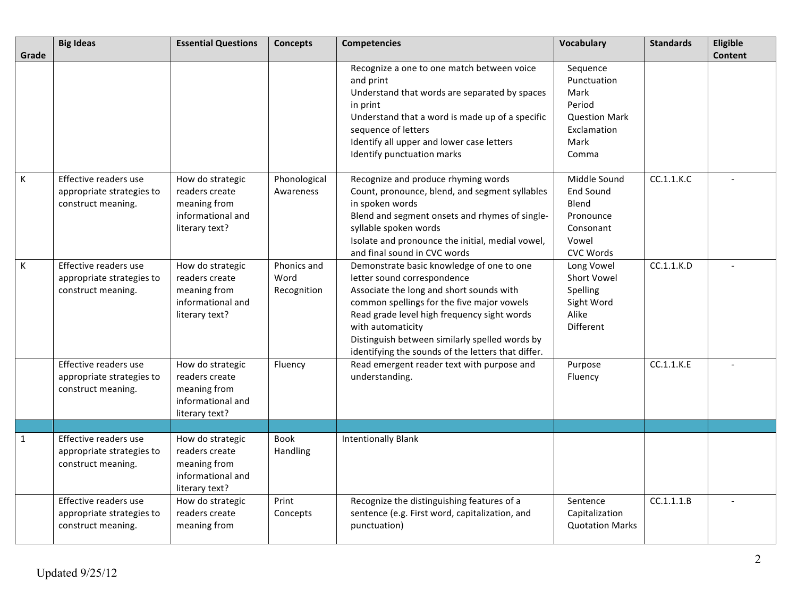|                | <b>Big Ideas</b>                                                         | <b>Essential Questions</b>                                                                | <b>Concepts</b>                    | <b>Competencies</b>                                                                                                                                                                                                                                                                                                                            | <b>Vocabulary</b>                                                                                 | <b>Standards</b> | Eligible       |
|----------------|--------------------------------------------------------------------------|-------------------------------------------------------------------------------------------|------------------------------------|------------------------------------------------------------------------------------------------------------------------------------------------------------------------------------------------------------------------------------------------------------------------------------------------------------------------------------------------|---------------------------------------------------------------------------------------------------|------------------|----------------|
| Grade          |                                                                          |                                                                                           |                                    | Recognize a one to one match between voice<br>and print<br>Understand that words are separated by spaces<br>in print<br>Understand that a word is made up of a specific<br>sequence of letters<br>Identify all upper and lower case letters<br>Identify punctuation marks                                                                      | Sequence<br>Punctuation<br>Mark<br>Period<br><b>Question Mark</b><br>Exclamation<br>Mark<br>Comma |                  | <b>Content</b> |
| $\,$ K         | Effective readers use<br>appropriate strategies to<br>construct meaning. | How do strategic<br>readers create<br>meaning from<br>informational and<br>literary text? | Phonological<br>Awareness          | Recognize and produce rhyming words<br>Count, pronounce, blend, and segment syllables<br>in spoken words<br>Blend and segment onsets and rhymes of single-<br>syllable spoken words<br>Isolate and pronounce the initial, medial vowel,<br>and final sound in CVC words                                                                        | Middle Sound<br><b>End Sound</b><br>Blend<br>Pronounce<br>Consonant<br>Vowel<br><b>CVC Words</b>  | CC.1.1.K.C       |                |
| $\mathsf{K}$   | Effective readers use<br>appropriate strategies to<br>construct meaning. | How do strategic<br>readers create<br>meaning from<br>informational and<br>literary text? | Phonics and<br>Word<br>Recognition | Demonstrate basic knowledge of one to one<br>letter sound correspondence<br>Associate the long and short sounds with<br>common spellings for the five major vowels<br>Read grade level high frequency sight words<br>with automaticity<br>Distinguish between similarly spelled words by<br>identifying the sounds of the letters that differ. | Long Vowel<br><b>Short Vowel</b><br>Spelling<br>Sight Word<br>Alike<br>Different                  | CC.1.1.K.D       |                |
|                | Effective readers use<br>appropriate strategies to<br>construct meaning. | How do strategic<br>readers create<br>meaning from<br>informational and<br>literary text? | Fluency                            | Read emergent reader text with purpose and<br>understanding.                                                                                                                                                                                                                                                                                   | Purpose<br>Fluency                                                                                | CC.1.1.K.E       |                |
|                |                                                                          |                                                                                           |                                    |                                                                                                                                                                                                                                                                                                                                                |                                                                                                   |                  |                |
| $\overline{1}$ | Effective readers use<br>appropriate strategies to<br>construct meaning. | How do strategic<br>readers create<br>meaning from<br>informational and<br>literary text? | Book<br>Handling                   | <b>Intentionally Blank</b>                                                                                                                                                                                                                                                                                                                     |                                                                                                   |                  |                |
|                | Effective readers use<br>appropriate strategies to<br>construct meaning. | How do strategic<br>readers create<br>meaning from                                        | Print<br>Concepts                  | Recognize the distinguishing features of a<br>sentence (e.g. First word, capitalization, and<br>punctuation)                                                                                                                                                                                                                                   | Sentence<br>Capitalization<br><b>Quotation Marks</b>                                              | CC.1.1.1.B       |                |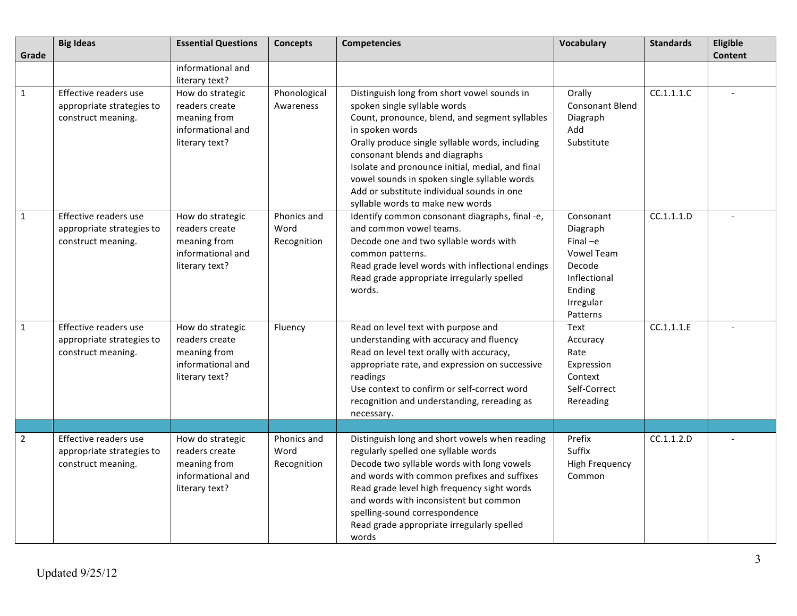| Grade          | <b>Big Ideas</b>                                                         | <b>Essential Questions</b>                                                                | <b>Concepts</b>                    | <b>Competencies</b>                                                                                                                                                                                                                                                                                                                                                                                                         | <b>Vocabulary</b>                                                                                                     | <b>Standards</b> | Eligible<br><b>Content</b> |
|----------------|--------------------------------------------------------------------------|-------------------------------------------------------------------------------------------|------------------------------------|-----------------------------------------------------------------------------------------------------------------------------------------------------------------------------------------------------------------------------------------------------------------------------------------------------------------------------------------------------------------------------------------------------------------------------|-----------------------------------------------------------------------------------------------------------------------|------------------|----------------------------|
|                |                                                                          | informational and<br>literary text?                                                       |                                    |                                                                                                                                                                                                                                                                                                                                                                                                                             |                                                                                                                       |                  |                            |
| $\mathbf{1}$   | Effective readers use<br>appropriate strategies to<br>construct meaning. | How do strategic<br>readers create<br>meaning from<br>informational and<br>literary text? | Phonological<br>Awareness          | Distinguish long from short vowel sounds in<br>spoken single syllable words<br>Count, pronounce, blend, and segment syllables<br>in spoken words<br>Orally produce single syllable words, including<br>consonant blends and diagraphs<br>Isolate and pronounce initial, medial, and final<br>vowel sounds in spoken single syllable words<br>Add or substitute individual sounds in one<br>syllable words to make new words | Orally<br><b>Consonant Blend</b><br>Diagraph<br>Add<br>Substitute                                                     | CC.1.1.1.C       | $\overline{\phantom{a}}$   |
| 1              | Effective readers use<br>appropriate strategies to<br>construct meaning. | How do strategic<br>readers create<br>meaning from<br>informational and<br>literary text? | Phonics and<br>Word<br>Recognition | Identify common consonant diagraphs, final -e,<br>and common vowel teams.<br>Decode one and two syllable words with<br>common patterns.<br>Read grade level words with inflectional endings<br>Read grade appropriate irregularly spelled<br>words.                                                                                                                                                                         | Consonant<br>Diagraph<br>$Final -e$<br><b>Vowel Team</b><br>Decode<br>Inflectional<br>Ending<br>Irregular<br>Patterns | CC.1.1.1.D       |                            |
| $\mathbf{1}$   | Effective readers use<br>appropriate strategies to<br>construct meaning. | How do strategic<br>readers create<br>meaning from<br>informational and<br>literary text? | Fluency                            | Read on level text with purpose and<br>understanding with accuracy and fluency<br>Read on level text orally with accuracy,<br>appropriate rate, and expression on successive<br>readings<br>Use context to confirm or self-correct word<br>recognition and understanding, rereading as<br>necessary.                                                                                                                        | Text<br>Accuracy<br>Rate<br>Expression<br>Context<br>Self-Correct<br>Rereading                                        | CC.1.1.1.E       |                            |
|                |                                                                          |                                                                                           |                                    |                                                                                                                                                                                                                                                                                                                                                                                                                             |                                                                                                                       |                  |                            |
| $\overline{2}$ | Effective readers use<br>appropriate strategies to<br>construct meaning. | How do strategic<br>readers create<br>meaning from<br>informational and<br>literary text? | Phonics and<br>Word<br>Recognition | Distinguish long and short vowels when reading<br>regularly spelled one syllable words<br>Decode two syllable words with long vowels<br>and words with common prefixes and suffixes<br>Read grade level high frequency sight words<br>and words with inconsistent but common<br>spelling-sound correspondence<br>Read grade appropriate irregularly spelled<br>words                                                        | Prefix<br>Suffix<br><b>High Frequency</b><br>Common                                                                   | CC.1.1.2.D       |                            |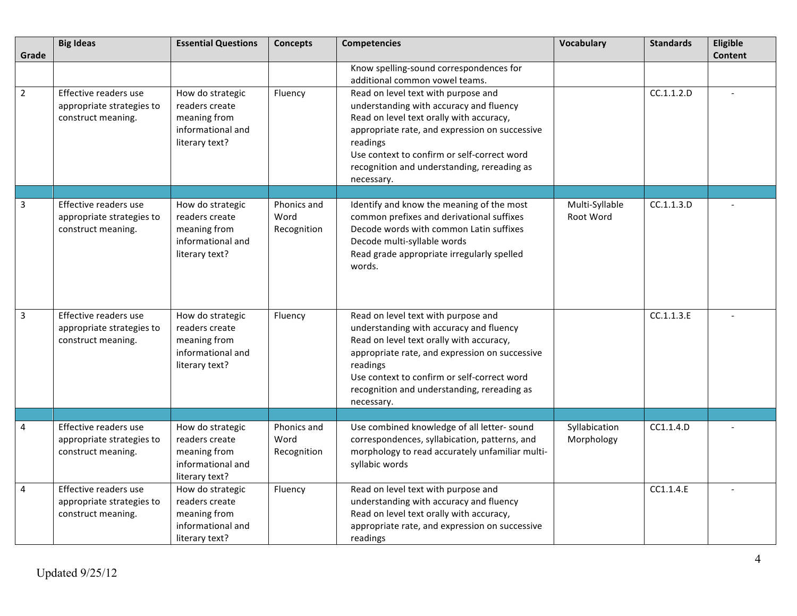| Grade          | <b>Big Ideas</b>                                                         | <b>Essential Questions</b>                                                                | <b>Concepts</b>                    | <b>Competencies</b>                                                                                                                                                                                                                                                                                  | Vocabulary                  | <b>Standards</b> | Eligible<br><b>Content</b> |
|----------------|--------------------------------------------------------------------------|-------------------------------------------------------------------------------------------|------------------------------------|------------------------------------------------------------------------------------------------------------------------------------------------------------------------------------------------------------------------------------------------------------------------------------------------------|-----------------------------|------------------|----------------------------|
|                |                                                                          |                                                                                           |                                    | Know spelling-sound correspondences for<br>additional common vowel teams.                                                                                                                                                                                                                            |                             |                  |                            |
| $\overline{2}$ | Effective readers use<br>appropriate strategies to<br>construct meaning. | How do strategic<br>readers create<br>meaning from<br>informational and<br>literary text? | Fluency                            | Read on level text with purpose and<br>understanding with accuracy and fluency<br>Read on level text orally with accuracy,<br>appropriate rate, and expression on successive<br>readings<br>Use context to confirm or self-correct word<br>recognition and understanding, rereading as<br>necessary. |                             | CC.1.1.2.D       |                            |
|                |                                                                          |                                                                                           |                                    |                                                                                                                                                                                                                                                                                                      |                             |                  |                            |
| $\overline{3}$ | Effective readers use<br>appropriate strategies to<br>construct meaning. | How do strategic<br>readers create<br>meaning from<br>informational and<br>literary text? | Phonics and<br>Word<br>Recognition | Identify and know the meaning of the most<br>common prefixes and derivational suffixes<br>Decode words with common Latin suffixes<br>Decode multi-syllable words<br>Read grade appropriate irregularly spelled<br>words.                                                                             | Multi-Syllable<br>Root Word | CC.1.1.3.D       |                            |
| $\overline{3}$ | Effective readers use<br>appropriate strategies to<br>construct meaning. | How do strategic<br>readers create<br>meaning from<br>informational and<br>literary text? | Fluency                            | Read on level text with purpose and<br>understanding with accuracy and fluency<br>Read on level text orally with accuracy,<br>appropriate rate, and expression on successive<br>readings<br>Use context to confirm or self-correct word<br>recognition and understanding, rereading as<br>necessary. |                             | CC.1.1.3.E       |                            |
|                |                                                                          |                                                                                           |                                    |                                                                                                                                                                                                                                                                                                      |                             |                  |                            |
| 4              | Effective readers use<br>appropriate strategies to<br>construct meaning. | How do strategic<br>readers create<br>meaning from<br>informational and<br>literary text? | Phonics and<br>Word<br>Recognition | Use combined knowledge of all letter-sound<br>correspondences, syllabication, patterns, and<br>morphology to read accurately unfamiliar multi-<br>syllabic words                                                                                                                                     | Syllabication<br>Morphology | CC1.1.4.D        |                            |
| $\overline{4}$ | Effective readers use<br>appropriate strategies to<br>construct meaning. | How do strategic<br>readers create<br>meaning from<br>informational and<br>literary text? | Fluency                            | Read on level text with purpose and<br>understanding with accuracy and fluency<br>Read on level text orally with accuracy,<br>appropriate rate, and expression on successive<br>readings                                                                                                             |                             | CC1.1.4.E        |                            |